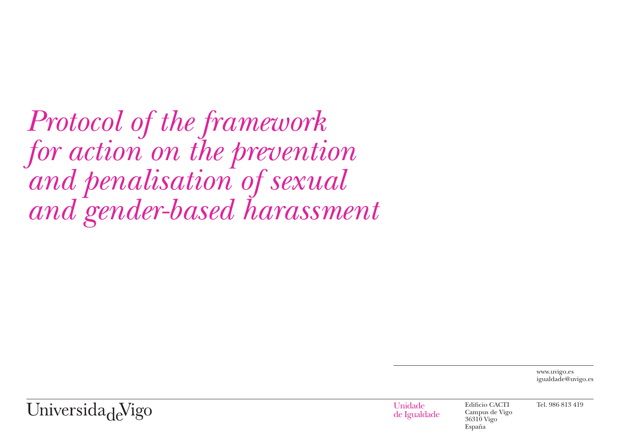*Protocol of the framework for action on the prevention and penalisation of sexual and gender-based harassment*

> www.uvigo.es igualdade@uvigo.es

Universida<sub>de</sub>Vigo

Unidade de Igualdade Edificio CACTI Campus de Vigo 36310 Vigo España

Tel. 986 813 419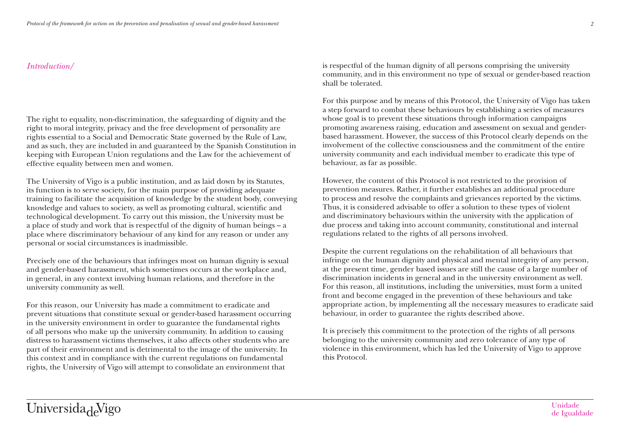# *Introduction/*

The right to equality, non-discrimination, the safeguarding of dignity and the right to moral integrity, privacy and the free development of personality are rights essential to a Social and Democratic State governed by the Rule of Law, and as such, they are included in and guaranteed by the Spanish Constitution in keeping with European Union regulations and the Law for the achievement of effective equality between men and women.

The University of Vigo is a public institution, and as laid down by its Statutes, its function is to serve society, for the main purpose of providing adequate training to facilitate the acquisition of knowledge by the student body, conveying knowledge and values to society, as well as promoting cultural, scientific and technological development. To carry out this mission, the University must be a place of study and work that is respectful of the dignity of human beings – a place where discriminatory behaviour of any kind for any reason or under any personal or social circumstances is inadmissible.

Precisely one of the behaviours that infringes most on human dignity is sexual and gender-based harassment, which sometimes occurs at the workplace and, in general, in any context involving human relations, and therefore in the university community as well.

For this reason, our University has made a commitment to eradicate and prevent situations that constitute sexual or gender-based harassment occurring in the university environment in order to guarantee the fundamental rights of all persons who make up the university community. In addition to causing distress to harassment victims themselves, it also affects other students who are part of their environment and is detrimental to the image of the university. In this context and in compliance with the current regulations on fundamental rights, the University of Vigo will attempt to consolidate an environment that

is respectful of the human dignity of all persons comprising the university community, and in this environment no type of sexual or gender-based reaction shall be tolerated.

For this purpose and by means of this Protocol, the University of Vigo has taken a step forward to combat these behaviours by establishing a series of measures whose goal is to prevent these situations through information campaigns promoting awareness raising, education and assessment on sexual and genderbased harassment. However, the success of this Protocol clearly depends on the involvement of the collective consciousness and the commitment of the entire university community and each individual member to eradicate this type of behaviour, as far as possible.

However, the content of this Protocol is not restricted to the provision of prevention measures. Rather, it further establishes an additional procedure to process and resolve the complaints and grievances reported by the victims. Thus, it is considered advisable to offer a solution to these types of violent and discriminatory behaviours within the university with the application of due process and taking into account community, constitutional and internal regulations related to the rights of all persons involved.

Despite the current regulations on the rehabilitation of all behaviours that infringe on the human dignity and physical and mental integrity of any person, at the present time, gender based issues are still the cause of a large number of discrimination incidents in general and in the university environment as well. For this reason, all institutions, including the universities, must form a united front and become engaged in the prevention of these behaviours and take appropriate action, by implementing all the necessary measures to eradicate said behaviour, in order to guarantee the rights described above.

It is precisely this commitment to the protection of the rights of all persons belonging to the university community and zero tolerance of any type of violence in this environment, which has led the University of Vigo to approve this Protocol.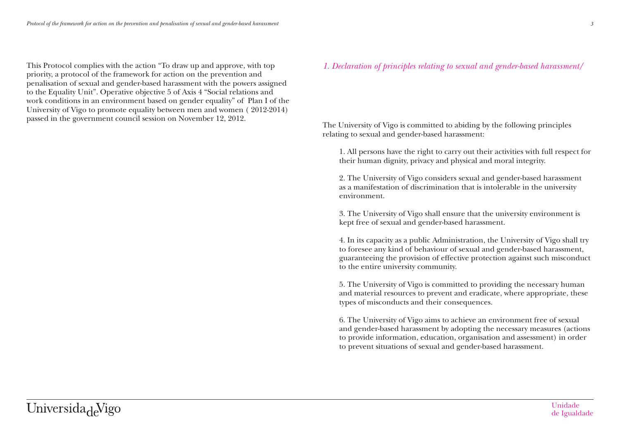This Protocol complies with the action "To draw up and approve, with top priority, a protocol of the framework for action on the prevention and penalisation of sexual and gender-based harassment with the powers assigned to the Equality Unit". Operative objective 5 of Axis 4 "Social relations and work conditions in an environment based on gender equality" of Plan I of the University of Vigo to promote equality between men and women ( 2012-2014) passed in the government council session on November 12, 2012.

# *1. Declaration of principles relating to sexual and gender-based harassment/*

The University of Vigo is committed to abiding by the following principles relating to sexual and gender-based harassment:

1. All persons have the right to carry out their activities with full respect for their human dignity, privacy and physical and moral integrity.

2. The University of Vigo considers sexual and gender-based harassment as a manifestation of discrimination that is intolerable in the university environment.

3. The University of Vigo shall ensure that the university environment is kept free of sexual and gender-based harassment.

4. In its capacity as a public Administration, the University of Vigo shall try to foresee any kind of behaviour of sexual and gender-based harassment, guaranteeing the provision of effective protection against such misconduct to the entire university community.

5. The University of Vigo is committed to providing the necessary human and material resources to prevent and eradicate, where appropriate, these types of misconducts and their consequences.

6. The University of Vigo aims to achieve an environment free of sexual and gender-based harassment by adopting the necessary measures (actions to provide information, education, organisation and assessment) in order to prevent situations of sexual and gender-based harassment.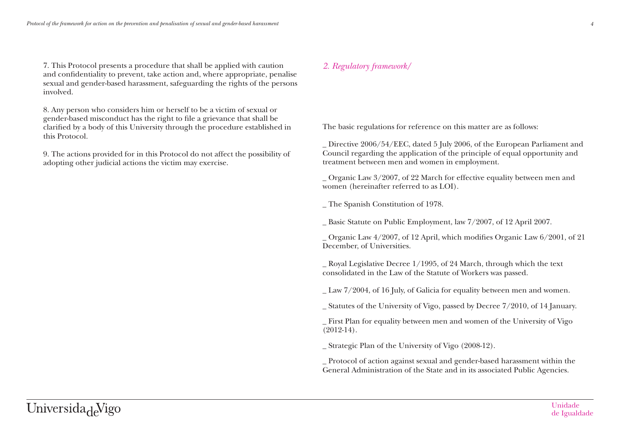7. This Protocol presents a procedure that shall be applied with caution and confidentiality to prevent, take action and, where appropriate, penalise sexual and gender-based harassment, safeguarding the rights of the persons involved.

8. Any person who considers him or herself to be a victim of sexual or gender-based misconduct has the right to file a grievance that shall be clarified by a body of this University through the procedure established in this Protocol.

9. The actions provided for in this Protocol do not affect the possibility of adopting other judicial actions the victim may exercise.

# *2. Regulatory framework/*

The basic regulations for reference on this matter are as follows:

\_ Directive 2006/54/EEC, dated 5 July 2006, of the European Parliament and Council regarding the application of the principle of equal opportunity and treatment between men and women in employment.

\_ Organic Law 3/2007, of 22 March for effective equality between men and women (hereinafter referred to as LOI).

\_ The Spanish Constitution of 1978.

\_ Basic Statute on Public Employment, law 7/2007, of 12 April 2007.

\_ Organic Law 4/2007, of 12 April, which modifies Organic Law 6/2001, of 21 December, of Universities.

\_ Royal Legislative Decree 1/1995, of 24 March, through which the text consolidated in the Law of the Statute of Workers was passed.

\_ Law 7/2004, of 16 July, of Galicia for equality between men and women.

\_ Statutes of the University of Vigo, passed by Decree 7/2010, of 14 January.

\_ First Plan for equality between men and women of the University of Vigo (2012-14).

\_ Strategic Plan of the University of Vigo (2008-12).

\_ Protocol of action against sexual and gender-based harassment within the General Administration of the State and in its associated Public Agencies.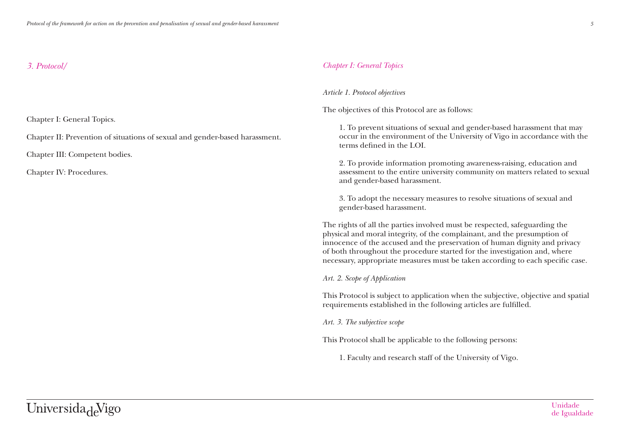## *3. Protocol/*

Chapter I: General Topics.

Chapter II: Prevention of situations of sexual and gender-based harassment.

Chapter III: Competent bodies.

Chapter IV: Procedures.

## *Chapter I: General Topics*

### *Article 1. Protocol objectives*

The objectives of this Protocol are as follows:

1. To prevent situations of sexual and gender-based harassment that may occur in the environment of the University of Vigo in accordance with the terms defined in the LOI.

2. To provide information promoting awareness-raising, education and assessment to the entire university community on matters related to sexual and gender-based harassment.

3. To adopt the necessary measures to resolve situations of sexual and gender-based harassment.

The rights of all the parties involved must be respected, safeguarding the physical and moral integrity, of the complainant, and the presumption of innocence of the accused and the preservation of human dignity and privacy of both throughout the procedure started for the investigation and, where necessary, appropriate measures must be taken according to each specific case.

#### *Art. 2. Scope of Application*

This Protocol is subject to application when the subjective, objective and spatial requirements established in the following articles are fulfilled.

*Art. 3. The subjective scope*

This Protocol shall be applicable to the following persons:

1. Faculty and research staff of the University of Vigo.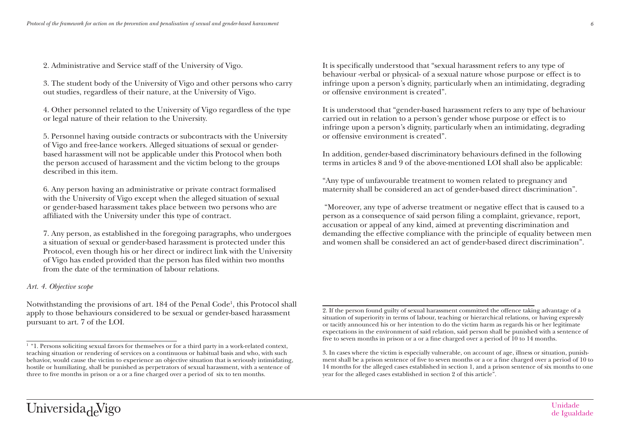2. Administrative and Service staff of the University of Vigo.

3. The student body of the University of Vigo and other persons who carry out studies, regardless of their nature, at the University of Vigo.

4. Other personnel related to the University of Vigo regardless of the type or legal nature of their relation to the University.

5. Personnel having outside contracts or subcontracts with the University of Vigo and free-lance workers. Alleged situations of sexual or genderbased harassment will not be applicable under this Protocol when both the person accused of harassment and the victim belong to the groups described in this item.

6. Any person having an administrative or private contract formalised with the University of Vigo except when the alleged situation of sexual or gender-based harassment takes place between two persons who are affiliated with the University under this type of contract.

7. Any person, as established in the foregoing paragraphs, who undergoes a situation of sexual or gender-based harassment is protected under this Protocol, even though his or her direct or indirect link with the University of Vigo has ended provided that the person has filed within two months from the date of the termination of labour relations.

#### *Art. 4. Objective scope*

Notwithstanding the provisions of art. 184 of the Penal Code<sup>1</sup>, this Protocol shall apply to those behaviours considered to be sexual or gender-based harassment pursuant to art. 7 of the LOI.

It is specifically understood that "sexual harassment refers to any type of behaviour -verbal or physical- of a sexual nature whose purpose or effect is to infringe upon a person's dignity, particularly when an intimidating, degrading or offensive environment is created".

It is understood that "gender-based harassment refers to any type of behaviour carried out in relation to a person's gender whose purpose or effect is to infringe upon a person's dignity, particularly when an intimidating, degrading or offensive environment is created".

In addition, gender-based discriminatory behaviours defined in the following terms in articles 8 and 9 of the above-mentioned LOI shall also be applicable:

"Any type of unfavourable treatment to women related to pregnancy and maternity shall be considered an act of gender-based direct discrimination".

 "Moreover, any type of adverse treatment or negative effect that is caused to a person as a consequence of said person filing a complaint, grievance, report, accusation or appeal of any kind, aimed at preventing discrimination and demanding the effective compliance with the principle of equality between men and women shall be considered an act of gender-based direct discrimination".

 $1$  "1. Persons soliciting sexual favors for themselves or for a third party in a work-related context, teaching situation or rendering of services on a continuous or habitual basis and who, with such behavior, would cause the victim to experience an objective situation that is seriously intimidating, hostile or humiliating, shall be punished as perpetrators of sexual harassment, with a sentence of three to five months in prison or a or a fine charged over a period of six to ten months.

<sup>2.</sup> If the person found guilty of sexual harassment committed the offence taking advantage of a situation of superiority in terms of labour, teaching or hierarchical relations, or having expressly or tacitly announced his or her intention to do the victim harm as regards his or her legitimate expectations in the environment of said relation, said person shall be punished with a sentence of five to seven months in prison or a or a fine charged over a period of 10 to 14 months.

<sup>3.</sup> In cases where the victim is especially vulnerable, on account of age, illness or situation, punishment shall be a prison sentence of five to seven months or a or a fine charged over a period of 10 to 14 months for the alleged cases established in section 1, and a prison sentence of six months to one year for the alleged cases established in section 2 of this article".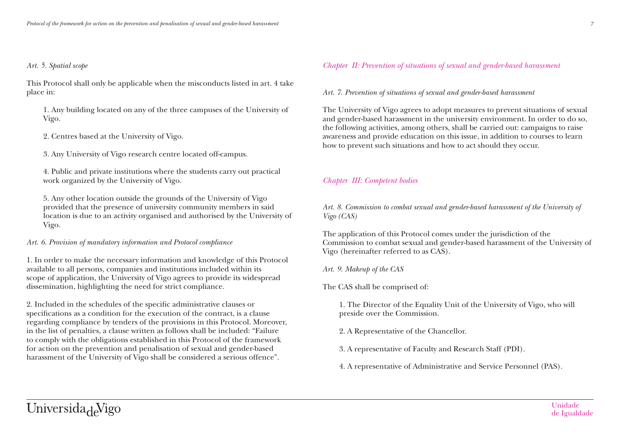# *Art. 5. Spatial scope*

This Protocol shall only be applicable when the misconducts listed in art. 4 take place in:

1. Any building located on any of the three campuses of the University of Vigo.

2. Centres based at the University of Vigo.

3. Any University of Vigo research centre located off-campus.

4. Public and private institutions where the students carry out practical work organized by the University of Vigo.

5. Any other location outside the grounds of the University of Vigo provided that the presence of university community members in said location is due to an activity organised and authorised by the University of Vigo.

*Art. 6. Provision of mandatory information and Protocol compliance*

1. In order to make the necessary information and knowledge of this Protocol available to all persons, companies and institutions included within its scope of application, the University of Vigo agrees to provide its widespread dissemination, highlighting the need for strict compliance.

2. Included in the schedules of the specific administrative clauses or specifications as a condition for the execution of the contract, is a clause regarding compliance by tenders of the provisions in this Protocol. Moreover, in the list of penalties, a clause written as follows shall be included: "Failure to comply with the obligations established in this Protocol of the framework for action on the prevention and penalisation of sexual and gender-based harassment of the University of Vigo shall be considered a serious offence".

# *Chapter II: Prevention of situations of sexual and gender-based harassment*

*Art. 7. Prevention of situations of sexual and gender-based harassment*

The University of Vigo agrees to adopt measures to prevent situations of sexual and gender-based harassment in the university environment. In order to do so, the following activities, among others, shall be carried out: campaigns to raise awareness and provide education on this issue, in addition to courses to learn how to prevent such situations and how to act should they occur.

# *Chapter III: Competent bodies*

*Art. 8. Commission to combat sexual and gender-based harassment of the University of Vigo (CAS)*

The application of this Protocol comes under the jurisdiction of the Commission to combat sexual and gender-based harassment of the University of Vigo (hereinafter referred to as CAS).

*Art. 9. Makeup of the CAS*

The CAS shall be comprised of:

1. The Director of the Equality Unit of the University of Vigo, who will preside over the Commission.

2. A Representative of the Chancellor.

3. A representative of Faculty and Research Staff (PDI).

4. A representative of Administrative and Service Personnel (PAS).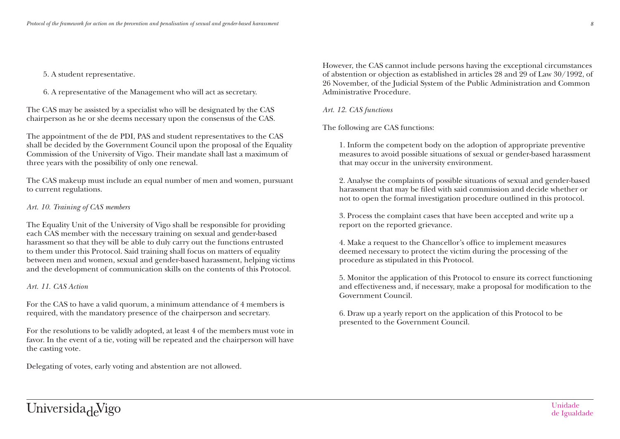#### 5. A student representative.

6. A representative of the Management who will act as secretary.

The CAS may be assisted by a specialist who will be designated by the CAS chairperson as he or she deems necessary upon the consensus of the CAS.

The appointment of the de PDI, PAS and student representatives to the CAS shall be decided by the Government Council upon the proposal of the Equality Commission of the University of Vigo. Their mandate shall last a maximum of three years with the possibility of only one renewal.

The CAS makeup must include an equal number of men and women, pursuant to current regulations.

#### *Art. 10. Training of CAS members*

The Equality Unit of the University of Vigo shall be responsible for providing each CAS member with the necessary training on sexual and gender-based harassment so that they will be able to duly carry out the functions entrusted to them under this Protocol. Said training shall focus on matters of equality between men and women, sexual and gender-based harassment, helping victims and the development of communication skills on the contents of this Protocol.

#### *Art. 11. CAS Action*

For the CAS to have a valid quorum, a minimum attendance of 4 members is required, with the mandatory presence of the chairperson and secretary.

For the resolutions to be validly adopted, at least 4 of the members must vote in favor. In the event of a tie, voting will be repeated and the chairperson will have the casting vote.

Delegating of votes, early voting and abstention are not allowed.

However, the CAS cannot include persons having the exceptional circumstances of abstention or objection as established in articles 28 and 29 of Law 30/1992, of 26 November, of the Judicial System of the Public Administration and Common Administrative Procedure.

#### *Art. 12. CAS functions*

The following are CAS functions:

1. Inform the competent body on the adoption of appropriate preventive measures to avoid possible situations of sexual or gender-based harassment that may occur in the university environment.

2. Analyse the complaints of possible situations of sexual and gender-based harassment that may be filed with said commission and decide whether or not to open the formal investigation procedure outlined in this protocol.

3. Process the complaint cases that have been accepted and write up a report on the reported grievance.

4. Make a request to the Chancellor's office to implement measures deemed necessary to protect the victim during the processing of the procedure as stipulated in this Protocol.

5. Monitor the application of this Protocol to ensure its correct functioning and effectiveness and, if necessary, make a proposal for modification to the Government Council.

6. Draw up a yearly report on the application of this Protocol to be presented to the Government Council.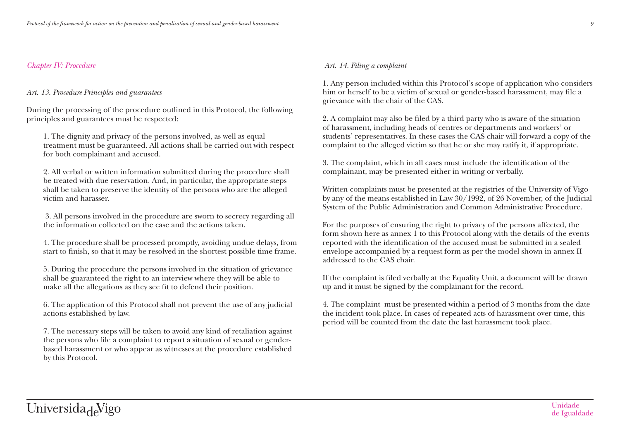## *Chapter IV: Procedure*

### *Art. 13. Procedure Principles and guarantees*

During the processing of the procedure outlined in this Protocol, the following principles and guarantees must be respected:

1. The dignity and privacy of the persons involved, as well as equal treatment must be guaranteed. All actions shall be carried out with respect for both complainant and accused.

2. All verbal or written information submitted during the procedure shall be treated with due reservation. And, in particular, the appropriate steps shall be taken to preserve the identity of the persons who are the alleged victim and harasser.

 3. All persons involved in the procedure are sworn to secrecy regarding all the information collected on the case and the actions taken.

4. The procedure shall be processed promptly, avoiding undue delays, from start to finish, so that it may be resolved in the shortest possible time frame.

5. During the procedure the persons involved in the situation of grievance shall be guaranteed the right to an interview where they will be able to make all the allegations as they see fit to defend their position.

6. The application of this Protocol shall not prevent the use of any judicial actions established by law.

7. The necessary steps will be taken to avoid any kind of retaliation against the persons who file a complaint to report a situation of sexual or genderbased harassment or who appear as witnesses at the procedure established by this Protocol.

### *Art. 14. Filing a complaint*

1. Any person included within this Protocol's scope of application who considers him or herself to be a victim of sexual or gender-based harassment, may file a grievance with the chair of the CAS.

2. A complaint may also be filed by a third party who is aware of the situation of harassment, including heads of centres or departments and workers' or students' representatives. In these cases the CAS chair will forward a copy of the complaint to the alleged victim so that he or she may ratify it, if appropriate.

3. The complaint, which in all cases must include the identification of the complainant, may be presented either in writing or verbally.

Written complaints must be presented at the registries of the University of Vigo by any of the means established in Law 30/1992, of 26 November, of the Judicial System of the Public Administration and Common Administrative Procedure.

For the purposes of ensuring the right to privacy of the persons affected, the form shown here as annex 1 to this Protocol along with the details of the events reported with the identification of the accused must be submitted in a sealed envelope accompanied by a request form as per the model shown in annex II addressed to the CAS chair.

If the complaint is filed verbally at the Equality Unit, a document will be drawn up and it must be signed by the complainant for the record.

4. The complaint must be presented within a period of 3 months from the date the incident took place. In cases of repeated acts of harassment over time, this period will be counted from the date the last harassment took place.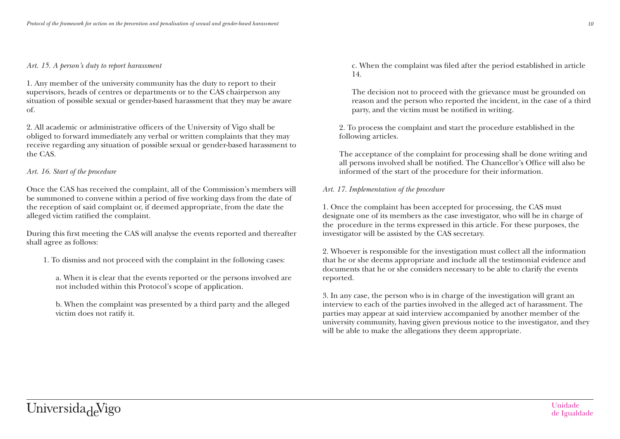#### *Art. 15. A person's duty to report harassment*

1. Any member of the university community has the duty to report to their supervisors, heads of centres or departments or to the CAS chairperson any situation of possible sexual or gender-based harassment that they may be aware of.

2. All academic or administrative officers of the University of Vigo shall be obliged to forward immediately any verbal or written complaints that they may receive regarding any situation of possible sexual or gender-based harassment to the CAS.

#### *Art. 16. Start of the procedure*

Once the CAS has received the complaint, all of the Commission's members will be summoned to convene within a period of five working days from the date of the reception of said complaint or, if deemed appropriate, from the date the alleged victim ratified the complaint.

During this first meeting the CAS will analyse the events reported and thereafter shall agree as follows:

1. To dismiss and not proceed with the complaint in the following cases:

a. When it is clear that the events reported or the persons involved are not included within this Protocol's scope of application.

b. When the complaint was presented by a third party and the alleged victim does not ratify it.

c. When the complaint was filed after the period established in article 14.

The decision not to proceed with the grievance must be grounded on reason and the person who reported the incident, in the case of a third party, and the victim must be notified in writing.

2. To process the complaint and start the procedure established in the following articles.

The acceptance of the complaint for processing shall be done writing and all persons involved shall be notified. The Chancellor's Office will also be informed of the start of the procedure for their information.

#### *Art. 17. Implementation of the procedure*

1. Once the complaint has been accepted for processing, the CAS must designate one of its members as the case investigator, who will be in charge of the procedure in the terms expressed in this article. For these purposes, the investigator will be assisted by the CAS secretary.

2. Whoever is responsible for the investigation must collect all the information that he or she deems appropriate and include all the testimonial evidence and documents that he or she considers necessary to be able to clarify the events reported.

3. In any case, the person who is in charge of the investigation will grant an interview to each of the parties involved in the alleged act of harassment. The parties may appear at said interview accompanied by another member of the university community, having given previous notice to the investigator, and they will be able to make the allegations they deem appropriate.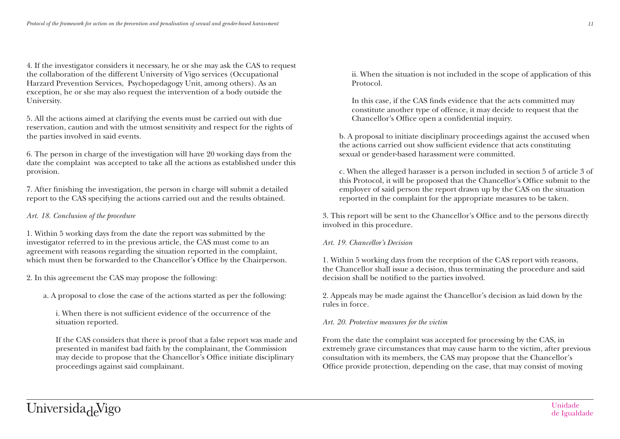4. If the investigator considers it necessary, he or she may ask the CAS to request the collaboration of the different University of Vigo services (Occupational Harzard Prevention Services, Psychopedagogy Unit, among others). As an exception, he or she may also request the intervention of a body outside the University.

5. All the actions aimed at clarifying the events must be carried out with due reservation, caution and with the utmost sensitivity and respect for the rights of the parties involved in said events.

6. The person in charge of the investigation will have 20 working days from the date the complaint was accepted to take all the actions as established under this provision.

7. After finishing the investigation, the person in charge will submit a detailed report to the CAS specifying the actions carried out and the results obtained.

### *Art. 18. Conclusion of the procedure*

1. Within 5 working days from the date the report was submitted by the investigator referred to in the previous article, the CAS must come to an agreement with reasons regarding the situation reported in the complaint, which must then be forwarded to the Chancellor's Office by the Chairperson.

2. In this agreement the CAS may propose the following:

a. A proposal to close the case of the actions started as per the following:

i. When there is not sufficient evidence of the occurrence of the situation reported.

If the CAS considers that there is proof that a false report was made and presented in manifest bad faith by the complainant, the Commission may decide to propose that the Chancellor's Office initiate disciplinary proceedings against said complainant.

ii. When the situation is not included in the scope of application of this Protocol.

In this case, if the CAS finds evidence that the acts committed may constitute another type of offence, it may decide to request that the Chancellor's Office open a confidential inquiry.

b. A proposal to initiate disciplinary proceedings against the accused when the actions carried out show sufficient evidence that acts constituting sexual or gender-based harassment were committed.

c. When the alleged harasser is a person included in section 5 of article 3 of this Protocol, it will be proposed that the Chancellor's Office submit to the employer of said person the report drawn up by the CAS on the situation reported in the complaint for the appropriate measures to be taken.

3. This report will be sent to the Chancellor's Office and to the persons directly involved in this procedure.

#### *Art. 19. Chancellor's Decision*

1. Within 5 working days from the reception of the CAS report with reasons, the Chancellor shall issue a decision, thus terminating the procedure and said decision shall be notified to the parties involved.

2. Appeals may be made against the Chancellor's decision as laid down by the rules in force.

#### *Art. 20. Protective measures for the victim*

From the date the complaint was accepted for processing by the CAS, in extremely grave circumstances that may cause harm to the victim, after previous consultation with its members, the CAS may propose that the Chancellor's Office provide protection, depending on the case, that may consist of moving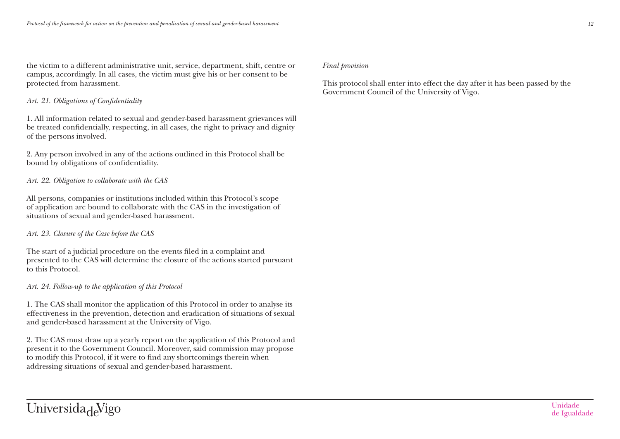the victim to a different administrative unit, service, department, shift, centre or campus, accordingly. In all cases, the victim must give his or her consent to be protected from harassment.

#### *Art. 21. Obligations of Confidentiality*

1. All information related to sexual and gender-based harassment grievances will be treated confidentially, respecting, in all cases, the right to privacy and dignity of the persons involved.

2. Any person involved in any of the actions outlined in this Protocol shall be bound by obligations of confidentiality.

#### *Art. 22. Obligation to collaborate with the CAS*

All persons, companies or institutions included within this Protocol's scope of application are bound to collaborate with the CAS in the investigation of situations of sexual and gender-based harassment.

#### *Art. 23. Closure of the Case before the CAS*

The start of a judicial procedure on the events filed in a complaint and presented to the CAS will determine the closure of the actions started pursuant to this Protocol.

#### *Art. 24. Follow-up to the application of this Protocol*

1. The CAS shall monitor the application of this Protocol in order to analyse its effectiveness in the prevention, detection and eradication of situations of sexual and gender-based harassment at the University of Vigo.

2. The CAS must draw up a yearly report on the application of this Protocol and present it to the Government Council. Moreover, said commission may propose to modify this Protocol, if it were to find any shortcomings therein when addressing situations of sexual and gender-based harassment.

#### *Final provision*

This protocol shall enter into effect the day after it has been passed by the Government Council of the University of Vigo.